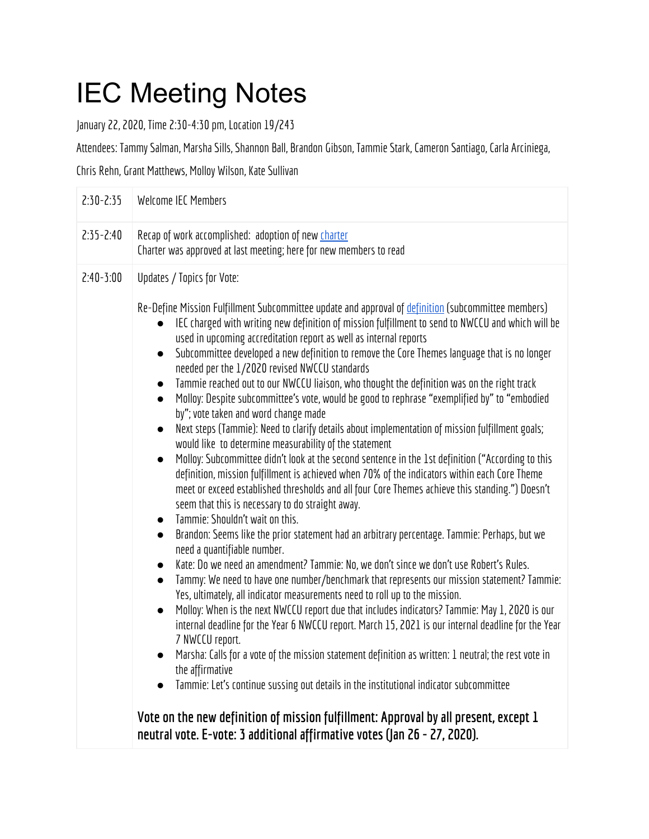## IEC Meeting Notes

January 22, 2020, Time 2:30-4:30 pm, Location 19/243

Attendees: Tammy Salman, Marsha Sills, Shannon Ball, Brandon Gibson, Tammie Stark, Cameron Santiago, Carla Arciniega,

Chris Rehn, Grant Matthews, Molloy Wilson, Kate Sullivan

| $2:30-2:35$   | Welcome IEC Members                                                                                                                                                                                                                                                                                                                                                                                                                                                                                                                                                                                                                                                                                                                                                                                                                                                                                                                                                                                                                                                                                                                                                                                                                                                                                                                                                                                                                                                                                                                                                                                                                                                                                                                                                                                                                                                                                                                                                                                                                                                                                        |
|---------------|------------------------------------------------------------------------------------------------------------------------------------------------------------------------------------------------------------------------------------------------------------------------------------------------------------------------------------------------------------------------------------------------------------------------------------------------------------------------------------------------------------------------------------------------------------------------------------------------------------------------------------------------------------------------------------------------------------------------------------------------------------------------------------------------------------------------------------------------------------------------------------------------------------------------------------------------------------------------------------------------------------------------------------------------------------------------------------------------------------------------------------------------------------------------------------------------------------------------------------------------------------------------------------------------------------------------------------------------------------------------------------------------------------------------------------------------------------------------------------------------------------------------------------------------------------------------------------------------------------------------------------------------------------------------------------------------------------------------------------------------------------------------------------------------------------------------------------------------------------------------------------------------------------------------------------------------------------------------------------------------------------------------------------------------------------------------------------------------------------|
| $2:35 - 2:40$ | Recap of work accomplished: adoption of new charter<br>Charter was approved at last meeting; here for new members to read                                                                                                                                                                                                                                                                                                                                                                                                                                                                                                                                                                                                                                                                                                                                                                                                                                                                                                                                                                                                                                                                                                                                                                                                                                                                                                                                                                                                                                                                                                                                                                                                                                                                                                                                                                                                                                                                                                                                                                                  |
| $2:40-3:00$   | Updates / Topics for Vote:<br>Re-Define Mission Fulfillment Subcommittee update and approval of definition (subcommittee members)<br>IEC charged with writing new definition of mission fulfillment to send to NWCCU and which will be<br>used in upcoming accreditation report as well as internal reports<br>Subcommittee developed a new definition to remove the Core Themes language that is no longer<br>$\bullet$<br>needed per the 1/2020 revised NWCCU standards<br>Tammie reached out to our NWCCU liaison, who thought the definition was on the right track<br>Molloy: Despite subcommittee's vote, would be good to rephrase "exemplified by" to "embodied<br>by"; vote taken and word change made<br>Next steps (Tammie): Need to clarify details about implementation of mission fulfillment goals;<br>$\bullet$<br>would like to determine measurability of the statement<br>Molloy: Subcommittee didn't look at the second sentence in the 1st definition ("According to this<br>definition, mission fulfillment is achieved when 70% of the indicators within each Core Theme<br>meet or exceed established thresholds and all four Core Themes achieve this standing.") Doesn't<br>seem that this is necessary to do straight away.<br>Tammie: Shouldn't wait on this.<br>Brandon: Seems like the prior statement had an arbitrary percentage. Tammie: Perhaps, but we<br>$\bullet$<br>need a quantifiable number.<br>Kate: Do we need an amendment? Tammie: No, we don't since we don't use Robert's Rules.<br>Tammy: We need to have one number/benchmark that represents our mission statement? Tammie:<br>$\bullet$<br>Yes, ultimately, all indicator measurements need to roll up to the mission.<br>Molloy: When is the next NWCCU report due that includes indicators? Tammie: May 1, 2020 is our<br>$\bullet$<br>internal deadline for the Year 6 NWCCU report. March 15, 2021 is our internal deadline for the Year<br>7 NWCCU report.<br>Marsha: Calls for a vote of the mission statement definition as written: 1 neutral; the rest vote in<br>$\bullet$<br>the affirmative |
|               | Tammie: Let's continue sussing out details in the institutional indicator subcommittee<br>Vote on the new definition of mission fulfillment: Approval by all present, except 1<br>neutral vote. E-vote: 3 additional affirmative votes (Jan 26 - 27, 2020).                                                                                                                                                                                                                                                                                                                                                                                                                                                                                                                                                                                                                                                                                                                                                                                                                                                                                                                                                                                                                                                                                                                                                                                                                                                                                                                                                                                                                                                                                                                                                                                                                                                                                                                                                                                                                                                |